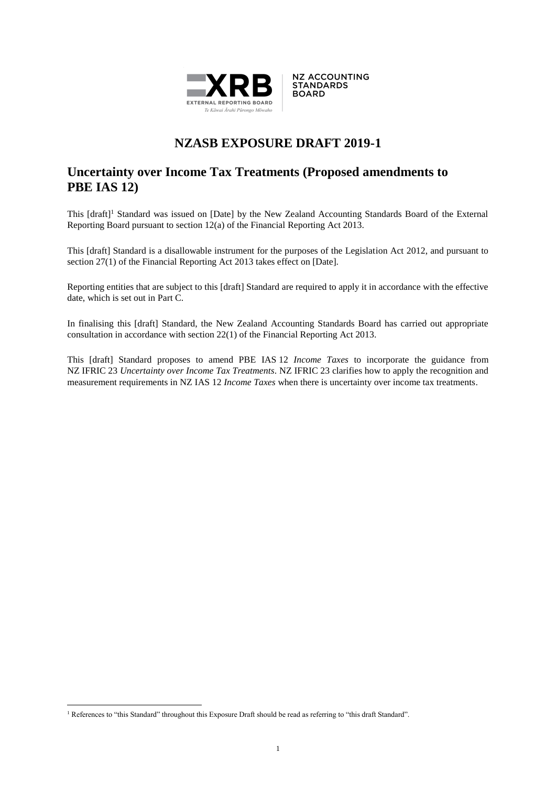



# **NZASB EXPOSURE DRAFT 2019-1**

# **Uncertainty over Income Tax Treatments (Proposed amendments to PBE IAS 12)**

This [draft]<sup>1</sup> Standard was issued on [Date] by the New Zealand Accounting Standards Board of the External Reporting Board pursuant to section 12(a) of the Financial Reporting Act 2013.

This [draft] Standard is a disallowable instrument for the purposes of the Legislation Act 2012, and pursuant to section 27(1) of the Financial Reporting Act 2013 takes effect on [Date].

Reporting entities that are subject to this [draft] Standard are required to apply it in accordance with the effective date, which is set out in Part C.

In finalising this [draft] Standard, the New Zealand Accounting Standards Board has carried out appropriate consultation in accordance with section 22(1) of the Financial Reporting Act 2013.

This [draft] Standard proposes to amend PBE IAS 12 *Income Taxes* to incorporate the guidance from NZ IFRIC 23 *Uncertainty over Income Tax Treatments*. NZ IFRIC 23 clarifies how to apply the recognition and measurement requirements in NZ IAS 12 *Income Taxes* when there is uncertainty over income tax treatments.

1

<sup>&</sup>lt;sup>1</sup> References to "this Standard" throughout this Exposure Draft should be read as referring to "this draft Standard".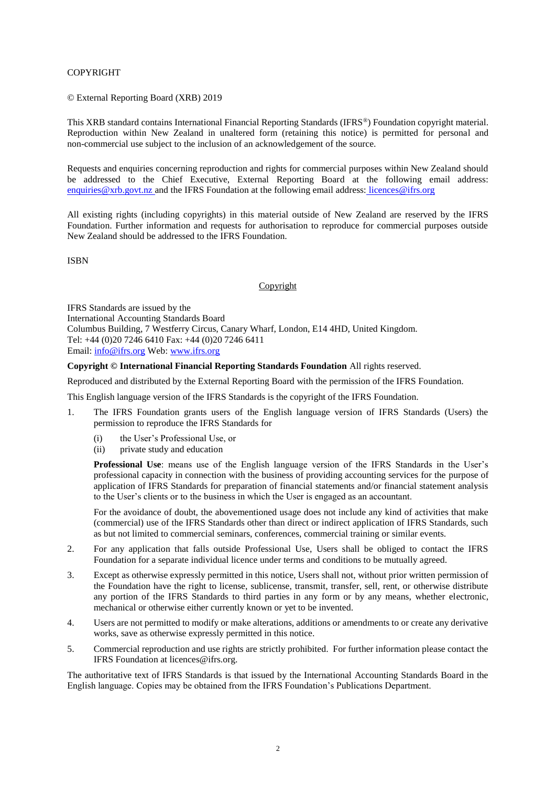### COPYRIGHT

© External Reporting Board (XRB) 2019

This XRB standard contains International Financial Reporting Standards (IFRS®) Foundation copyright material. Reproduction within New Zealand in unaltered form (retaining this notice) is permitted for personal and non-commercial use subject to the inclusion of an acknowledgement of the source.

Requests and enquiries concerning reproduction and rights for commercial purposes within New Zealand should be addressed to the Chief Executive, External Reporting Board at the following email address: [enquiries@xrb.govt.nz](mailto:enquiries@xrb.govt.nz) and the IFRS Foundation at the following email address: licences@ifrs.org

All existing rights (including copyrights) in this material outside of New Zealand are reserved by the IFRS Foundation. Further information and requests for authorisation to reproduce for commercial purposes outside New Zealand should be addressed to the IFRS Foundation.

ISBN

### Copyright

IFRS Standards are issued by the International Accounting Standards Board Columbus Building, 7 Westferry Circus, Canary Wharf, London, E14 4HD, United Kingdom. Tel: +44 (0)20 7246 6410 Fax: +44 (0)20 7246 6411 Email: [info@ifrs.org](mailto:info@ifrs.org) Web: [www.ifrs.org](http://www.ifrs.org/)

#### **Copyright © International Financial Reporting Standards Foundation** All rights reserved.

Reproduced and distributed by the External Reporting Board with the permission of the IFRS Foundation.

This English language version of the IFRS Standards is the copyright of the IFRS Foundation.

- 1. The IFRS Foundation grants users of the English language version of IFRS Standards (Users) the permission to reproduce the IFRS Standards for
	- (i) the User's Professional Use, or
	- (ii) private study and education

**Professional Use**: means use of the English language version of the IFRS Standards in the User's professional capacity in connection with the business of providing accounting services for the purpose of application of IFRS Standards for preparation of financial statements and/or financial statement analysis to the User's clients or to the business in which the User is engaged as an accountant.

For the avoidance of doubt, the abovementioned usage does not include any kind of activities that make (commercial) use of the IFRS Standards other than direct or indirect application of IFRS Standards, such as but not limited to commercial seminars, conferences, commercial training or similar events.

- 2. For any application that falls outside Professional Use, Users shall be obliged to contact the IFRS Foundation for a separate individual licence under terms and conditions to be mutually agreed.
- 3. Except as otherwise expressly permitted in this notice, Users shall not, without prior written permission of the Foundation have the right to license, sublicense, transmit, transfer, sell, rent, or otherwise distribute any portion of the IFRS Standards to third parties in any form or by any means, whether electronic, mechanical or otherwise either currently known or yet to be invented.
- 4. Users are not permitted to modify or make alterations, additions or amendments to or create any derivative works, save as otherwise expressly permitted in this notice.
- 5. Commercial reproduction and use rights are strictly prohibited. For further information please contact the IFRS Foundation at licences@ifrs.org.

The authoritative text of IFRS Standards is that issued by the International Accounting Standards Board in the English language. Copies may be obtained from the IFRS Foundation's Publications Department.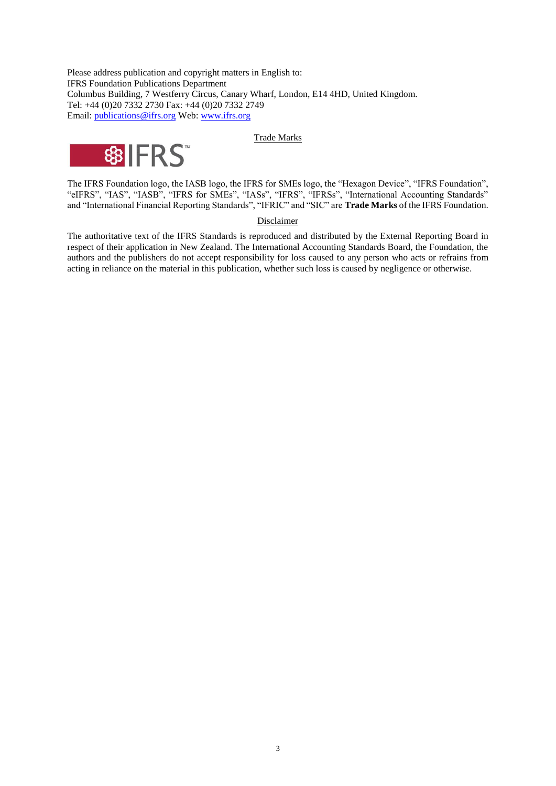Please address publication and copyright matters in English to: IFRS Foundation Publications Department Columbus Building, 7 Westferry Circus, Canary Wharf, London, E14 4HD, United Kingdom. Tel: +44 (0)20 7332 2730 Fax: +44 (0)20 7332 2749 Email: [publications@ifrs.org](mailto:publications@ifrs.org) Web: [www.ifrs.org](http://www.ifrs.org/)

#### Trade Marks



The IFRS Foundation logo, the IASB logo, the IFRS for SMEs logo, the "Hexagon Device", "IFRS Foundation", "eIFRS", "IAS", "IASB", "IFRS for SMEs", "IASs", "IFRS", "IFRSs", "International Accounting Standards" and "International Financial Reporting Standards", "IFRIC" and "SIC" are **Trade Marks** of the IFRS Foundation.

#### Disclaimer

The authoritative text of the IFRS Standards is reproduced and distributed by the External Reporting Board in respect of their application in New Zealand. The International Accounting Standards Board, the Foundation, the authors and the publishers do not accept responsibility for loss caused to any person who acts or refrains from acting in reliance on the material in this publication, whether such loss is caused by negligence or otherwise.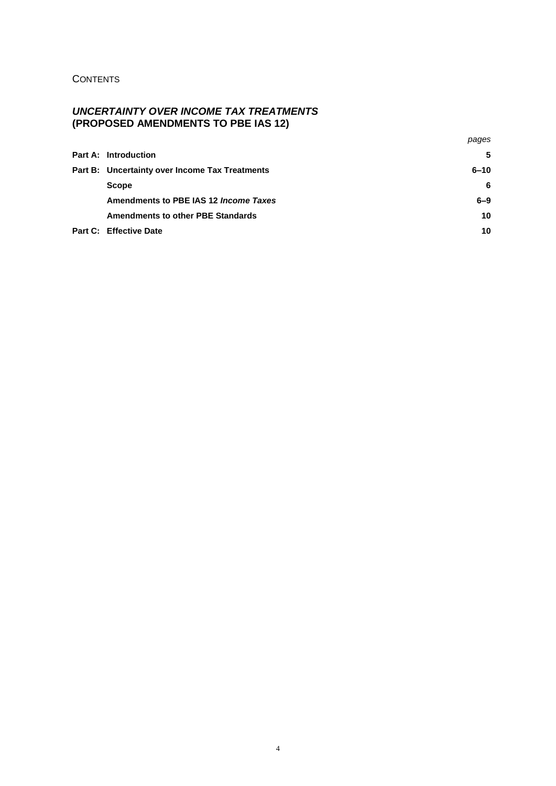# **CONTENTS**

### *UNCERTAINTY OVER INCOME TAX TREATMENTS*  **(PROPOSED AMENDMENTS TO PBE IAS 12)**

|                                                | pages    |
|------------------------------------------------|----------|
| <b>Part A: Introduction</b>                    | 5        |
| Part B: Uncertainty over Income Tax Treatments | $6 - 10$ |
| <b>Scope</b>                                   | 6        |
| Amendments to PBE IAS 12 <i>Income Taxes</i>   | $6 - 9$  |
| <b>Amendments to other PBE Standards</b>       | 10       |
| <b>Part C: Effective Date</b>                  | 10       |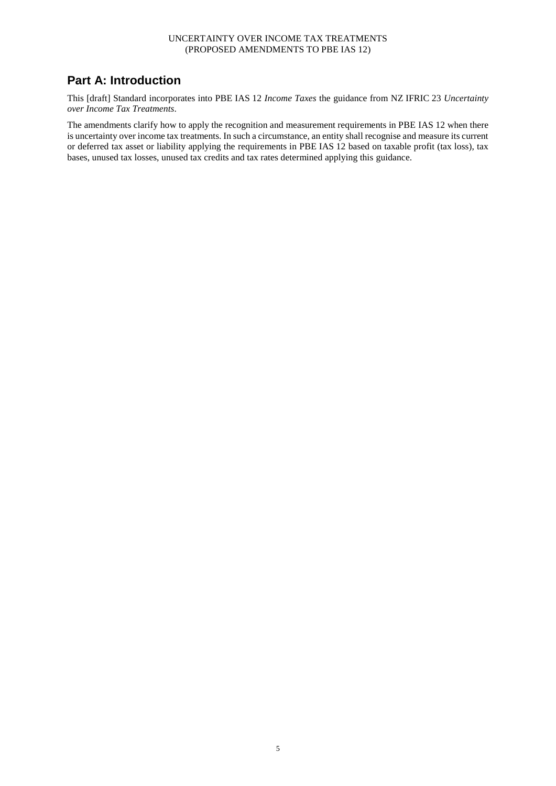# **Part A: Introduction**

This [draft] Standard incorporates into PBE IAS 12 *Income Taxes* the guidance from NZ IFRIC 23 *Uncertainty over Income Tax Treatments*.

The amendments clarify how to apply the recognition and measurement requirements in PBE IAS 12 when there is uncertainty over income tax treatments. In such a circumstance, an entity shall recognise and measure its current or deferred tax asset or liability applying the requirements in PBE IAS 12 based on taxable profit (tax loss), tax bases, unused tax losses, unused tax credits and tax rates determined applying this guidance.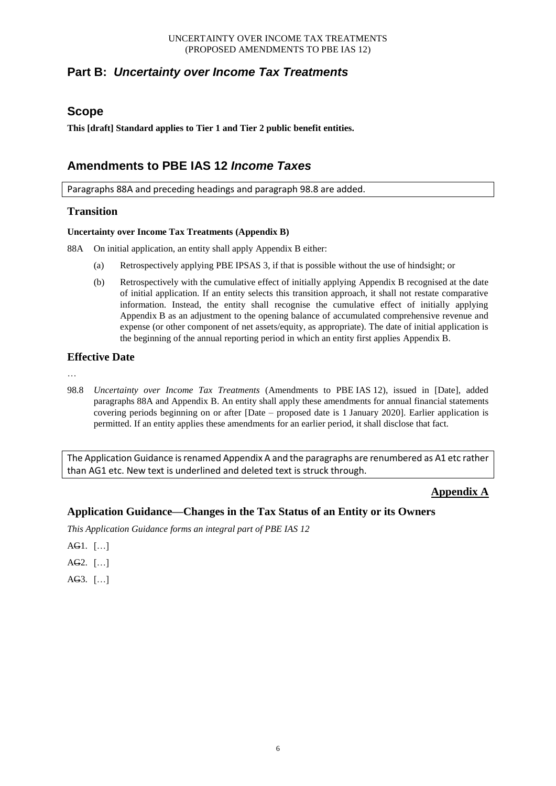# **Part B:** *Uncertainty over Income Tax Treatments*

# **Scope**

**This [draft] Standard applies to Tier 1 and Tier 2 public benefit entities.**

# **Amendments to PBE IAS 12** *Income Taxes*

Paragraphs 88A and preceding headings and paragraph 98.8 are added.

# **Transition**

### **Uncertainty over Income Tax Treatments (Appendix B)**

88A On initial application, an entity shall apply Appendix B either:

- (a) Retrospectively applying PBE IPSAS 3, if that is possible without the use of hindsight; or
- (b) Retrospectively with the cumulative effect of initially applying Appendix B recognised at the date of initial application. If an entity selects this transition approach, it shall not restate comparative information. Instead, the entity shall recognise the cumulative effect of initially applying Appendix B as an adjustment to the opening balance of accumulated comprehensive revenue and expense (or other component of net assets/equity, as appropriate). The date of initial application is the beginning of the annual reporting period in which an entity first applies Appendix B.

# **Effective Date**

- …
- 98.8 *Uncertainty over Income Tax Treatments* (Amendments to PBE IAS 12), issued in [Date], added paragraphs 88A and Appendix B. An entity shall apply these amendments for annual financial statements covering periods beginning on or after [Date – proposed date is 1 January 2020]. Earlier application is permitted. If an entity applies these amendments for an earlier period, it shall disclose that fact.

The Application Guidance is renamed Appendix A and the paragraphs are renumbered as A1 etc rather than AG1 etc. New text is underlined and deleted text is struck through.

## **Appendix A**

# **Application Guidance—Changes in the Tax Status of an Entity or its Owners**

*This Application Guidance forms an integral part of PBE IAS 12*

AG1. […]

AG2. […]

AG3. […]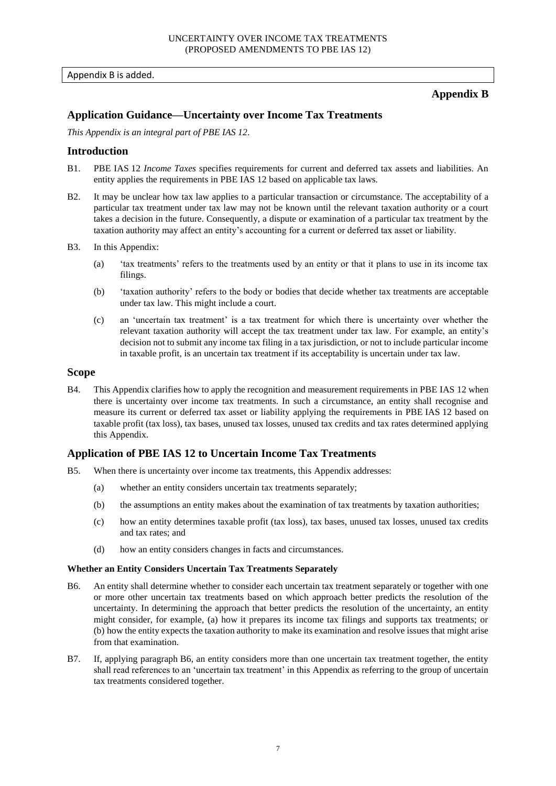# **Appendix B**

## **Application Guidance—Uncertainty over Income Tax Treatments**

*This Appendix is an integral part of PBE IAS 12.*

### **Introduction**

- B1. PBE IAS 12 *Income Taxes* specifies requirements for current and deferred tax assets and liabilities. An entity applies the requirements in PBE IAS 12 based on applicable tax laws.
- B2. It may be unclear how tax law applies to a particular transaction or circumstance. The acceptability of a particular tax treatment under tax law may not be known until the relevant taxation authority or a court takes a decision in the future. Consequently, a dispute or examination of a particular tax treatment by the taxation authority may affect an entity's accounting for a current or deferred tax asset or liability.
- B3. In this Appendix:
	- (a) 'tax treatments' refers to the treatments used by an entity or that it plans to use in its income tax filings.
	- (b) 'taxation authority' refers to the body or bodies that decide whether tax treatments are acceptable under tax law. This might include a court.
	- (c) an 'uncertain tax treatment' is a tax treatment for which there is uncertainty over whether the relevant taxation authority will accept the tax treatment under tax law. For example, an entity's decision not to submit any income tax filing in a tax jurisdiction, or not to include particular income in taxable profit, is an uncertain tax treatment if its acceptability is uncertain under tax law.

#### **Scope**

B4. This Appendix clarifies how to apply the recognition and measurement requirements in PBE IAS 12 when there is uncertainty over income tax treatments. In such a circumstance, an entity shall recognise and measure its current or deferred tax asset or liability applying the requirements in PBE IAS 12 based on taxable profit (tax loss), tax bases, unused tax losses, unused tax credits and tax rates determined applying this Appendix.

## **Application of PBE IAS 12 to Uncertain Income Tax Treatments**

- B5. When there is uncertainty over income tax treatments, this Appendix addresses:
	- (a) whether an entity considers uncertain tax treatments separately;
	- (b) the assumptions an entity makes about the examination of tax treatments by taxation authorities;
	- (c) how an entity determines taxable profit (tax loss), tax bases, unused tax losses, unused tax credits and tax rates; and
	- (d) how an entity considers changes in facts and circumstances.

#### **Whether an Entity Considers Uncertain Tax Treatments Separately**

- B6. An entity shall determine whether to consider each uncertain tax treatment separately or together with one or more other uncertain tax treatments based on which approach better predicts the resolution of the uncertainty. In determining the approach that better predicts the resolution of the uncertainty, an entity might consider, for example, (a) how it prepares its income tax filings and supports tax treatments; or (b) how the entity expects the taxation authority to make its examination and resolve issues that might arise from that examination.
- B7. If, applying paragraph B6, an entity considers more than one uncertain tax treatment together, the entity shall read references to an 'uncertain tax treatment' in this Appendix as referring to the group of uncertain tax treatments considered together.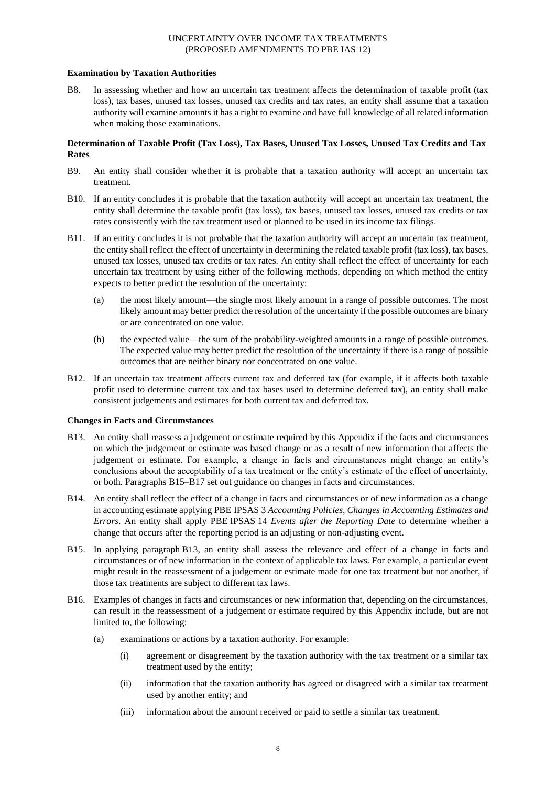#### UNCERTAINTY OVER INCOME TAX TREATMENTS (PROPOSED AMENDMENTS TO PBE IAS 12)

#### **Examination by Taxation Authorities**

B8. In assessing whether and how an uncertain tax treatment affects the determination of taxable profit (tax loss), tax bases, unused tax losses, unused tax credits and tax rates, an entity shall assume that a taxation authority will examine amounts it has a right to examine and have full knowledge of all related information when making those examinations.

#### **Determination of Taxable Profit (Tax Loss), Tax Bases, Unused Tax Losses, Unused Tax Credits and Tax Rates**

- B9. An entity shall consider whether it is probable that a taxation authority will accept an uncertain tax treatment.
- B10. If an entity concludes it is probable that the taxation authority will accept an uncertain tax treatment, the entity shall determine the taxable profit (tax loss), tax bases, unused tax losses, unused tax credits or tax rates consistently with the tax treatment used or planned to be used in its income tax filings.
- B11. If an entity concludes it is not probable that the taxation authority will accept an uncertain tax treatment, the entity shall reflect the effect of uncertainty in determining the related taxable profit (tax loss), tax bases, unused tax losses, unused tax credits or tax rates. An entity shall reflect the effect of uncertainty for each uncertain tax treatment by using either of the following methods, depending on which method the entity expects to better predict the resolution of the uncertainty:
	- (a) the most likely amount—the single most likely amount in a range of possible outcomes. The most likely amount may better predict the resolution of the uncertainty if the possible outcomes are binary or are concentrated on one value.
	- (b) the expected value—the sum of the probability-weighted amounts in a range of possible outcomes. The expected value may better predict the resolution of the uncertainty if there is a range of possible outcomes that are neither binary nor concentrated on one value.
- B12. If an uncertain tax treatment affects current tax and deferred tax (for example, if it affects both taxable profit used to determine current tax and tax bases used to determine deferred tax), an entity shall make consistent judgements and estimates for both current tax and deferred tax.

#### **Changes in Facts and Circumstances**

- B13. An entity shall reassess a judgement or estimate required by this Appendix if the facts and circumstances on which the judgement or estimate was based change or as a result of new information that affects the judgement or estimate. For example, a change in facts and circumstances might change an entity's conclusions about the acceptability of a tax treatment or the entity's estimate of the effect of uncertainty, or both. Paragraphs B15–B17 set out guidance on changes in facts and circumstances.
- B14. An entity shall reflect the effect of a change in facts and circumstances or of new information as a change in accounting estimate applying PBE IPSAS 3 *Accounting Policies, Changes in Accounting Estimates and Errors*. An entity shall apply PBE IPSAS 14 *Events after the Reporting Date* to determine whether a change that occurs after the reporting period is an adjusting or non-adjusting event.
- B15. In applying paragraph B13, an entity shall assess the relevance and effect of a change in facts and circumstances or of new information in the context of applicable tax laws. For example, a particular event might result in the reassessment of a judgement or estimate made for one tax treatment but not another, if those tax treatments are subject to different tax laws.
- B16. Examples of changes in facts and circumstances or new information that, depending on the circumstances, can result in the reassessment of a judgement or estimate required by this Appendix include, but are not limited to, the following:
	- (a) examinations or actions by a taxation authority. For example:
		- (i) agreement or disagreement by the taxation authority with the tax treatment or a similar tax treatment used by the entity;
		- (ii) information that the taxation authority has agreed or disagreed with a similar tax treatment used by another entity; and
		- (iii) information about the amount received or paid to settle a similar tax treatment.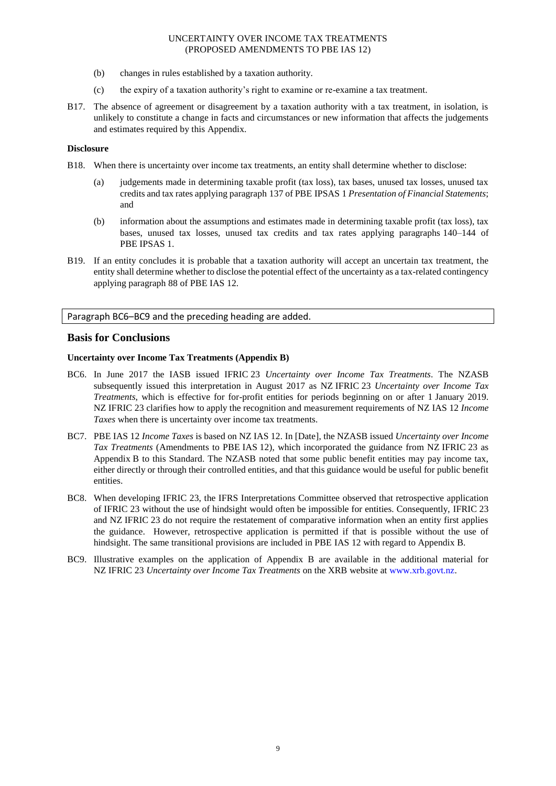#### UNCERTAINTY OVER INCOME TAX TREATMENTS (PROPOSED AMENDMENTS TO PBE IAS 12)

- (b) changes in rules established by a taxation authority.
- (c) the expiry of a taxation authority's right to examine or re-examine a tax treatment.
- B17. The absence of agreement or disagreement by a taxation authority with a tax treatment, in isolation, is unlikely to constitute a change in facts and circumstances or new information that affects the judgements and estimates required by this Appendix.

### **Disclosure**

- B18. When there is uncertainty over income tax treatments, an entity shall determine whether to disclose:
	- (a) judgements made in determining taxable profit (tax loss), tax bases, unused tax losses, unused tax credits and tax rates applying paragraph 137 of PBE IPSAS 1 *Presentation of Financial Statements*; and
	- (b) information about the assumptions and estimates made in determining taxable profit (tax loss), tax bases, unused tax losses, unused tax credits and tax rates applying paragraphs 140–144 of PBE IPSAS 1.
- B19. If an entity concludes it is probable that a taxation authority will accept an uncertain tax treatment, the entity shall determine whether to disclose the potential effect of the uncertainty as a tax-related contingency applying paragraph 88 of PBE IAS 12.

Paragraph BC6–BC9 and the preceding heading are added.

# **Basis for Conclusions**

### **Uncertainty over Income Tax Treatments (Appendix B)**

- BC6. In June 2017 the IASB issued IFRIC 23 *Uncertainty over Income Tax Treatments*. The NZASB subsequently issued this interpretation in August 2017 as NZ IFRIC 23 *Uncertainty over Income Tax Treatments*, which is effective for for-profit entities for periods beginning on or after 1 January 2019*.* NZ IFRIC 23 clarifies how to apply the recognition and measurement requirements of NZ IAS 12 *Income Taxes* when there is uncertainty over income tax treatments.
- BC7. PBE IAS 12 *Income Taxes* is based on NZ IAS 12. In [Date], the NZASB issued *Uncertainty over Income Tax Treatments* (Amendments to PBE IAS 12), which incorporated the guidance from NZ IFRIC 23 as Appendix B to this Standard. The NZASB noted that some public benefit entities may pay income tax, either directly or through their controlled entities, and that this guidance would be useful for public benefit entities.
- BC8. When developing IFRIC 23, the IFRS Interpretations Committee observed that retrospective application of IFRIC 23 without the use of hindsight would often be impossible for entities. Consequently, IFRIC 23 and NZ IFRIC 23 do not require the restatement of comparative information when an entity first applies the guidance. However, retrospective application is permitted if that is possible without the use of hindsight. The same transitional provisions are included in PBE IAS 12 with regard to Appendix B.
- BC9. Illustrative examples on the application of Appendix B are available in the additional material for NZ IFRIC 23 *Uncertainty over Income Tax Treatments* on the XRB website at [www.xrb.govt.nz.](http://www.xrb.govt.nz/)